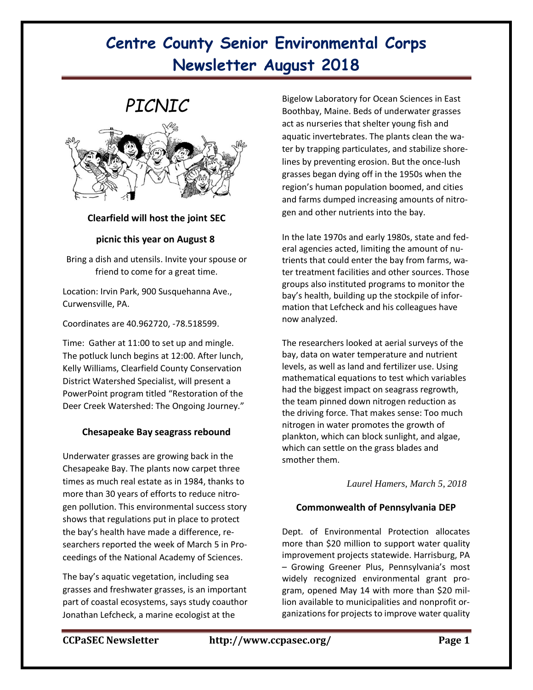# *PICNIC*



### **Clearfield will host the joint SEC**

### **picnic this year on August 8**

Bring a dish and utensils. Invite your spouse or friend to come for a great time.

Location: Irvin Park, 900 Susquehanna Ave., Curwensville, PA.

Coordinates are 40.962720, -78.518599.

Time: Gather at 11:00 to set up and mingle. The potluck lunch begins at 12:00. After lunch, Kelly Williams, Clearfield County Conservation District Watershed Specialist, will present a PowerPoint program titled "Restoration of the Deer Creek Watershed: The Ongoing Journey."

### **Chesapeake Bay seagrass rebound**

Underwater grasses are growing back in the Chesapeake Bay. The plants now carpet three times as much real estate as in 1984, thanks to more than 30 years of efforts to reduce nitrogen pollution. This environmental success story shows that regulations put in place to protect the bay's health [have made a difference,](http://www.pnas.org/cgi/doi/10.1073/pnas.1715798115) researchers reported the week of March 5 in Proceedings of the National Academy of Sciences.

The bay's aquatic vegetation, including sea grasses and freshwater grasses, is an important part of coastal ecosystems, says study coauthor Jonathan Lefcheck, a marine ecologist at the

Bigelow Laboratory for Ocean Sciences in East Boothbay, Maine. Beds of underwater grasses act as nurseries that shelter young fish and aquatic invertebrates. The plants clean the water by trapping particulates, and stabilize shorelines by preventing erosion. But the once-lush grasses began dying off in the 1950s when the region's human population boomed, and cities and farms dumped increasing amounts of nitrogen and other nutrients into the bay.

In the late 1970s and early 1980s, state and federal agencies acted, limiting the amount of nutrients that could enter the bay from farms, water treatment facilities and other sources. Those groups also instituted programs to monitor the bay's health, building up the stockpile of information that Lefcheck and his colleagues have now analyzed.

The researchers looked at aerial surveys of the bay, data on water temperature and nutrient levels, as well as land and fertilizer use. Using mathematical equations to test which variables had the biggest impact on seagrass regrowth, the team pinned down nitrogen reduction as the driving force. That makes sense: Too much nitrogen in water promotes the growth of plankton, which can block sunlight, and algae, which can settle on the grass blades and smother them.

*[Laurel Hamers,](https://www.sciencenews.org/author/laurel-hamers) March 5, 2018*

### **Commonwealth of Pennsylvania DEP**

Dept. of Environmental Protection allocates more than \$20 million to support water quality improvement projects statewide. Harrisburg, PA – Growing Greener Plus, Pennsylvania's most widely recognized environmental grant program, opened May 14 with more than \$20 million available to municipalities and nonprofit organizations for projects to improve water quality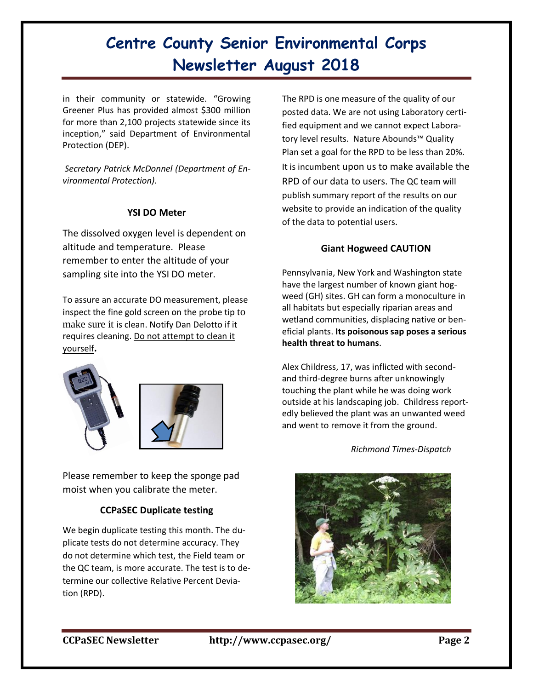in their community or statewide. "Growing Greener Plus has provided almost \$300 million for more than 2,100 projects statewide since its inception," said Department of Environmental Protection (DEP).

*Secretary Patrick McDonnel (Department of Environmental Protection).*

### **YSI DO Meter**

The dissolved oxygen level is dependent on altitude and temperature. Please remember to enter the altitude of your sampling site into the YSI DO meter.

To assure an accurate DO measurement, please inspect the fine gold screen on the probe tip to make sure it is clean. Notify Dan Delotto if it requires cleaning. Do not attempt to clean it yourself**.**





Please remember to keep the sponge pad moist when you calibrate the meter.

## **CCPaSEC Duplicate testing**

We begin duplicate testing this month. The duplicate tests do not determine accuracy. They do not determine which test, the Field team or the QC team, is more accurate. The test is to determine our collective Relative Percent Deviation (RPD).

The RPD is one measure of the quality of our posted data. We are not using Laboratory certified equipment and we cannot expect Laboratory level results. Nature Abounds™ Quality Plan set a goal for the RPD to be less than 20%. It is incumbent upon us to make available the RPD of our data to users. The QC team will publish summary report of the results on our website to provide an indication of the quality of the data to potential users.

### **Giant Hogweed CAUTION**

Pennsylvania, New York and Washington state have the largest number of known giant hogweed (GH) sites. GH can form a monoculture in all habitats but especially riparian areas and wetland communities, displacing native or beneficial plants. **Its poisonous sap poses a serious health threat to humans**.

Alex Childress, 17, was inflicted with secondand third-degree burns after unknowingly touching the plant while he was doing work outside at his landscaping job. Childress reportedly believed the plant was an unwanted weed and went to remove it from the ground.

 *Richmond [Times-Dispatch](https://www.richmond.com/life/health/incoming-va-tech-freshman-spends-nights-in-vcu-burn-unit/article_fa965971-251f-5cac-b02d-f09ea8bda780.html)*

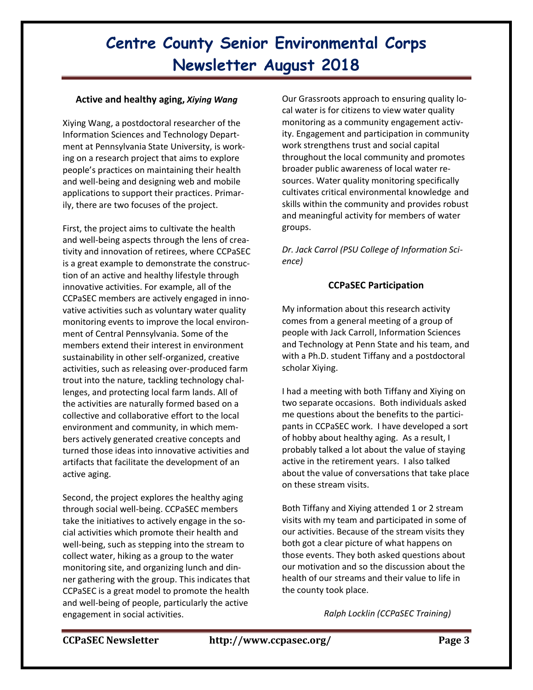#### **Active and healthy aging,** *Xiying Wang*

Xiying Wang, a postdoctoral researcher of the Information Sciences and Technology Department at Pennsylvania State University, is working on a research project that aims to explore people's practices on maintaining their health and well-being and designing web and mobile applications to support their practices. Primarily, there are two focuses of the project.

First, the project aims to cultivate the health and well-being aspects through the lens of creativity and innovation of retirees, where CCPaSEC is a great example to demonstrate the construction of an active and healthy lifestyle through innovative activities. For example, all of the CCPaSEC members are actively engaged in innovative activities such as voluntary water quality monitoring events to improve the local environment of Central Pennsylvania. Some of the members extend their interest in environment sustainability in other self-organized, creative activities, such as releasing over-produced farm trout into the nature, tackling technology challenges, and protecting local farm lands. All of the activities are naturally formed based on a collective and collaborative effort to the local environment and community, in which members actively generated creative concepts and turned those ideas into innovative activities and artifacts that facilitate the development of an active aging.

Second, the project explores the healthy aging through social well-being. CCPaSEC members take the initiatives to actively engage in the social activities which promote their health and well-being, such as stepping into the stream to collect water, hiking as a group to the water monitoring site, and organizing lunch and dinner gathering with the group. This indicates that CCPaSEC is a great model to promote the health and well-being of people, particularly the active engagement in social activities.

Our Grassroots approach to ensuring quality local water is for citizens to view water quality monitoring as a community engagement activity. Engagement and participation in community work strengthens trust and social capital throughout the local community and promotes broader public awareness of local water resources. Water quality monitoring specifically cultivates critical environmental knowledge and skills within the community and provides robust and meaningful activity for members of water groups.

*Dr. Jack Carrol (PSU College of Information Science)* 

### **CCPaSEC Participation**

My information about this research activity comes from a general meeting of a group of people with Jack Carroll, Information Sciences and Technology at Penn State and his team, and with a Ph.D. student Tiffany and a postdoctoral scholar Xiying.

I had a meeting with both Tiffany and Xiying on two separate occasions. Both individuals asked me questions about the benefits to the participants in CCPaSEC work. I have developed a sort of hobby about healthy aging. As a result, I probably talked a lot about the value of staying active in the retirement years. I also talked about the value of conversations that take place on these stream visits.

Both Tiffany and Xiying attended 1 or 2 stream visits with my team and participated in some of our activities. Because of the stream visits they both got a clear picture of what happens on those events. They both asked questions about our motivation and so the discussion about the health of our streams and their value to life in the county took place.

*Ralph Locklin (CCPaSEC Training)*